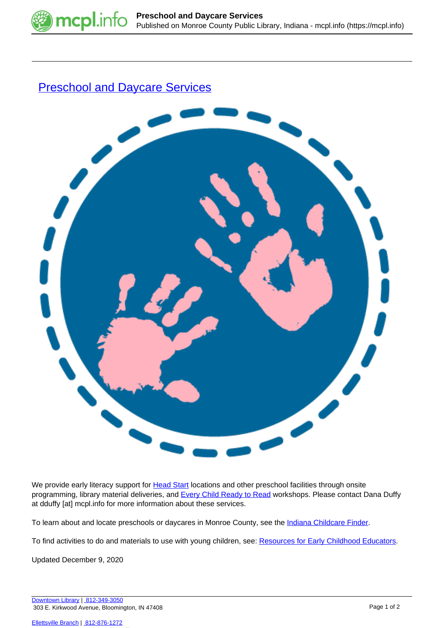

## **[Preschool and Daycare Services](https://mcpl.info/outreach/preschool-and-daycare-services)**



We provide early literacy support for **Head Start** locations and other preschool facilities through onsite programming, library material deliveries, and **[Every Child Ready to Read](https://mcpl.info/ecrr) workshops**. Please contact Dana Duffy at dduffy [at] mcpl.info for more information about these services.

To learn about and locate preschools or daycares in Monroe County, see the [Indiana Childcare Finder.](https://www.in.gov/fssa/childcarefinder/)

To find activities to do and materials to use with young children, see: [Resources for Early Childhood Educators](https://mcpl.info/childrens/websites-early-childhood-educators).

Updated December 9, 2020